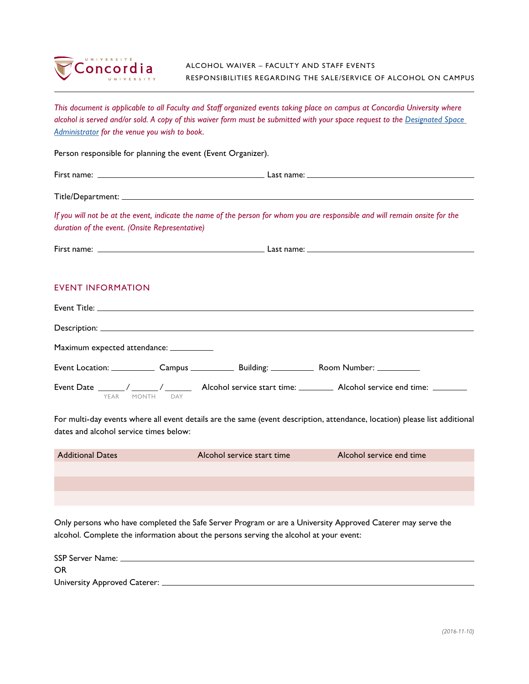

## ALCOHOL WAIVER – FACULTY AND STAFF EVENTS RESPONSIBILITIES REGARDING THE SALE/SERVICE OF ALCOHOL ON CAMPUS

*This document is applicable to all Faculty and Staff organized events taking place on campus at Concordia University where alcohol is served and/or sold. A copy of this waiver form must be submitted with your space request to the [Designated Space](www.concordia.ca/content/dam/concordia/services/event-planning/docs/Concordia-DSA-List.pdf)  [Administrator](www.concordia.ca/content/dam/concordia/services/event-planning/docs/Concordia-DSA-List.pdf) for the venue you wish to book.*

Person responsible for planning the event (Event Organizer). First name: Last name: Title/Department: *If you will not be at the event, indicate the name of the person for whom you are responsible and will remain onsite for the duration of the event. (Onsite Representative)* First name: Last name: EVENT INFORMATION Event Title: Description: Maximum expected attendance: Event Location: Campus Campus Building: Room Number: Event Date  $\frac{1}{\sqrt{2\pi}}$  /  $\frac{1}{\sqrt{2\pi}}$  Alcohol service start time:  $\frac{1}{\sqrt{2\pi}}$  Alcohol service end time: YEAR MONTH DAY For multi-day events where all event details are the same (event description, attendance, location) please list additional dates and alcohol service times below: Additional Dates **Alcohol service start time** Alcohol service end time

Only persons who have completed the Safe Server Program or are a University Approved Caterer may serve the alcohol. Complete the information about the persons serving the alcohol at your event:

| SSP Server Name: _             |  |
|--------------------------------|--|
| <b>OR</b>                      |  |
| University Approved Caterer: _ |  |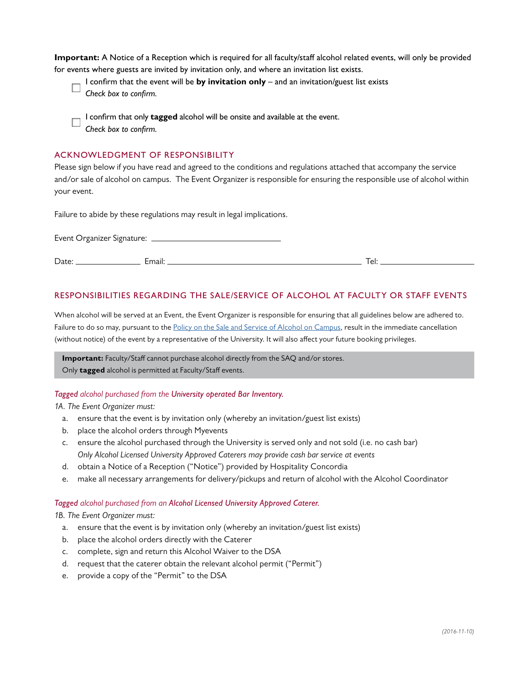**Important:** A Notice of a Reception which is required for all faculty/staff alcohol related events, will only be provided for events where guests are invited by invitation only, and where an invitation list exists.

I confirm that the event will be **by invitation only** – and an invitation/guest list exists *Check box to confirm.*

I confirm that only **tagged** alcohol will be onsite and available at the event. *Check box to confirm.*

#### ACKNOWLEDGMENT OF RESPONSIBILITY

Please sign below if you have read and agreed to the conditions and regulations attached that accompany the service and/or sale of alcohol on campus. The Event Organizer is responsible for ensuring the responsible use of alcohol within your event.

Failure to abide by these regulations may result in legal implications.

| Event Organizer Signature: _ |        |      |
|------------------------------|--------|------|
| Date:                        | Fmail: | ⊦ום⊤ |

# RESPONSIBILITIES REGARDING THE SALE/SERVICE OF ALCOHOL AT FACULTY OR STAFF EVENTS

When alcohol will be served at an Event, the Event Organizer is responsible for ensuring that all guidelines below are adhered to. Failure to do so may, pursuant to the [Policy on the Sale and Service of Alcohol on Campus](http://www.concordia.ca/content/dam/common/docs/policies/official-policies/VPS-3.pdf), result in the immediate cancellation (without notice) of the event by a representative of the University. It will also affect your future booking privileges.

**Important:** Faculty/Staff cannot purchase alcohol directly from the SAQ and/or stores. Only **tagged** alcohol is permitted at Faculty/Staff events.

## *Tagged alcohol purchased from the University operated Bar Inventory.*

#### *1A. The Event Organizer must:*

- a. ensure that the event is by invitation only (whereby an invitation/guest list exists)
- b. place the alcohol orders through Myevents
- c. ensure the alcohol purchased through the University is served only and not sold (i.e. no cash bar) *Only Alcohol Licensed University Approved Caterers may provide cash bar service at events*
- d. obtain a Notice of a Reception ("Notice") provided by Hospitality Concordia
- e. make all necessary arrangements for delivery/pickups and return of alcohol with the Alcohol Coordinator

## *Tagged alcohol purchased from an Alcohol Licensed University Approved Caterer.*

#### *1B. The Event Organizer must:*

- a. ensure that the event is by invitation only (whereby an invitation/guest list exists)
- b. place the alcohol orders directly with the Caterer
- c. complete, sign and return this Alcohol Waiver to the DSA
- d. request that the caterer obtain the relevant alcohol permit ("Permit")
- e. provide a copy of the "Permit" to the DSA